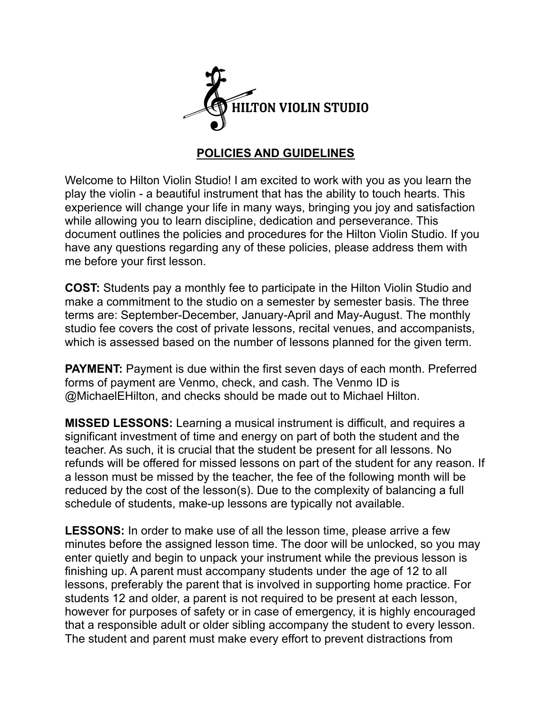

## **POLICIES AND GUIDELINES**

Welcome to Hilton Violin Studio! I am excited to work with you as you learn the play the violin - a beautiful instrument that has the ability to touch hearts. This experience will change your life in many ways, bringing you joy and satisfaction while allowing you to learn discipline, dedication and perseverance. This document outlines the policies and procedures for the Hilton Violin Studio. If you have any questions regarding any of these policies, please address them with me before your first lesson.

**COST:** Students pay a monthly fee to participate in the Hilton Violin Studio and make a commitment to the studio on a semester by semester basis. The three terms are: September-December, January-April and May-August. The monthly studio fee covers the cost of private lessons, recital venues, and accompanists, which is assessed based on the number of lessons planned for the given term.

**PAYMENT:** Payment is due within the first seven days of each month. Preferred forms of payment are Venmo, check, and cash. The Venmo ID is @MichaelEHilton, and checks should be made out to Michael Hilton.

**MISSED LESSONS:** Learning a musical instrument is difficult, and requires a significant investment of time and energy on part of both the student and the teacher. As such, it is crucial that the student be present for all lessons. No refunds will be offered for missed lessons on part of the student for any reason. If a lesson must be missed by the teacher, the fee of the following month will be reduced by the cost of the lesson(s). Due to the complexity of balancing a full schedule of students, make-up lessons are typically not available.

**LESSONS:** In order to make use of all the lesson time, please arrive a few minutes before the assigned lesson time. The door will be unlocked, so you may enter quietly and begin to unpack your instrument while the previous lesson is finishing up. A parent must accompany students under the age of 12 to all lessons, preferably the parent that is involved in supporting home practice. For students 12 and older, a parent is not required to be present at each lesson, however for purposes of safety or in case of emergency, it is highly encouraged that a responsible adult or older sibling accompany the student to every lesson. The student and parent must make every effort to prevent distractions from